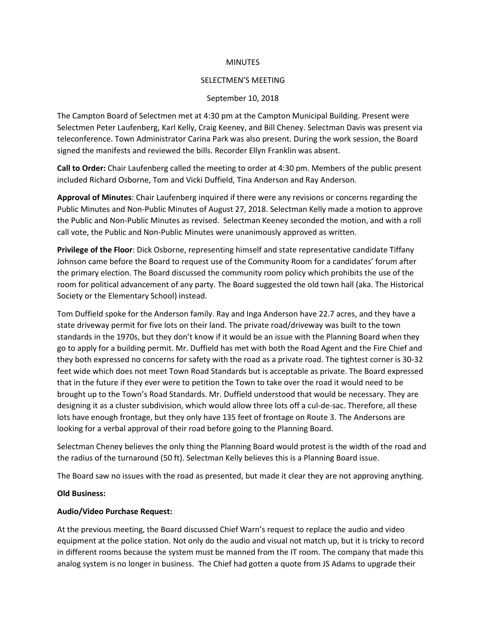#### **MINUTES**

#### SELECTMEN'S MEETING

#### September 10, 2018

The Campton Board of Selectmen met at 4:30 pm at the Campton Municipal Building. Present were Selectmen Peter Laufenberg, Karl Kelly, Craig Keeney, and Bill Cheney. Selectman Davis was present via teleconference. Town Administrator Carina Park was also present. During the work session, the Board signed the manifests and reviewed the bills. Recorder Ellyn Franklin was absent.

**Call to Order:** Chair Laufenberg called the meeting to order at 4:30 pm. Members of the public present included Richard Osborne, Tom and Vicki Duffield, Tina Anderson and Ray Anderson.

**Approval of Minutes**: Chair Laufenberg inquired if there were any revisions or concerns regarding the Public Minutes and Non-Public Minutes of August 27, 2018. Selectman Kelly made a motion to approve the Public and Non-Public Minutes as revised. Selectman Keeney seconded the motion, and with a roll call vote, the Public and Non-Public Minutes were unanimously approved as written.

**Privilege of the Floor**: Dick Osborne, representing himself and state representative candidate Tiffany Johnson came before the Board to request use of the Community Room for a candidates' forum after the primary election. The Board discussed the community room policy which prohibits the use of the room for political advancement of any party. The Board suggested the old town hall (aka. The Historical Society or the Elementary School) instead.

Tom Duffield spoke for the Anderson family. Ray and Inga Anderson have 22.7 acres, and they have a state driveway permit for five lots on their land. The private road/driveway was built to the town standards in the 1970s, but they don't know if it would be an issue with the Planning Board when they go to apply for a building permit. Mr. Duffield has met with both the Road Agent and the Fire Chief and they both expressed no concerns for safety with the road as a private road. The tightest corner is 30-32 feet wide which does not meet Town Road Standards but is acceptable as private. The Board expressed that in the future if they ever were to petition the Town to take over the road it would need to be brought up to the Town's Road Standards. Mr. Duffield understood that would be necessary. They are designing it as a cluster subdivision, which would allow three lots off a cul-de-sac. Therefore, all these lots have enough frontage, but they only have 135 feet of frontage on Route 3. The Andersons are looking for a verbal approval of their road before going to the Planning Board.

Selectman Cheney believes the only thing the Planning Board would protest is the width of the road and the radius of the turnaround (50 ft). Selectman Kelly believes this is a Planning Board issue.

The Board saw no issues with the road as presented, but made it clear they are not approving anything.

#### **Old Business:**

### **Audio/Video Purchase Request:**

At the previous meeting, the Board discussed Chief Warn's request to replace the audio and video equipment at the police station. Not only do the audio and visual not match up, but it is tricky to record in different rooms because the system must be manned from the IT room. The company that made this analog system is no longer in business. The Chief had gotten a quote from JS Adams to upgrade their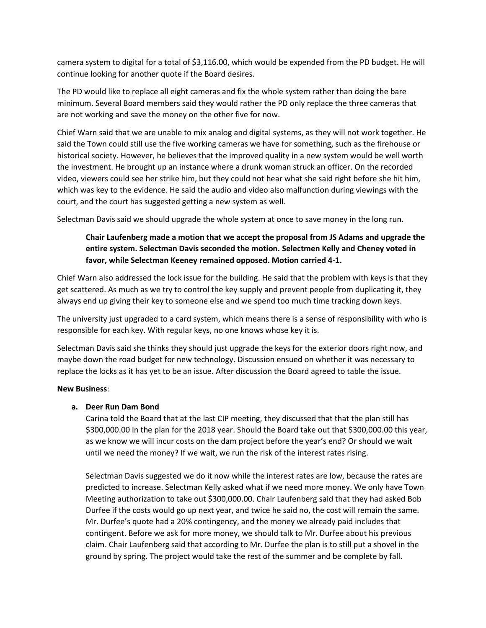camera system to digital for a total of \$3,116.00, which would be expended from the PD budget. He will continue looking for another quote if the Board desires.

The PD would like to replace all eight cameras and fix the whole system rather than doing the bare minimum. Several Board members said they would rather the PD only replace the three cameras that are not working and save the money on the other five for now.

Chief Warn said that we are unable to mix analog and digital systems, as they will not work together. He said the Town could still use the five working cameras we have for something, such as the firehouse or historical society. However, he believes that the improved quality in a new system would be well worth the investment. He brought up an instance where a drunk woman struck an officer. On the recorded video, viewers could see her strike him, but they could not hear what she said right before she hit him, which was key to the evidence. He said the audio and video also malfunction during viewings with the court, and the court has suggested getting a new system as well.

Selectman Davis said we should upgrade the whole system at once to save money in the long run.

# **Chair Laufenberg made a motion that we accept the proposal from JS Adams and upgrade the entire system. Selectman Davis seconded the motion. Selectmen Kelly and Cheney voted in favor, while Selectman Keeney remained opposed. Motion carried 4-1.**

Chief Warn also addressed the lock issue for the building. He said that the problem with keys is that they get scattered. As much as we try to control the key supply and prevent people from duplicating it, they always end up giving their key to someone else and we spend too much time tracking down keys.

The university just upgraded to a card system, which means there is a sense of responsibility with who is responsible for each key. With regular keys, no one knows whose key it is.

Selectman Davis said she thinks they should just upgrade the keys for the exterior doors right now, and maybe down the road budget for new technology. Discussion ensued on whether it was necessary to replace the locks as it has yet to be an issue. After discussion the Board agreed to table the issue.

# **New Business**:

# **a. Deer Run Dam Bond**

Carina told the Board that at the last CIP meeting, they discussed that that the plan still has \$300,000.00 in the plan for the 2018 year. Should the Board take out that \$300,000.00 this year, as we know we will incur costs on the dam project before the year's end? Or should we wait until we need the money? If we wait, we run the risk of the interest rates rising.

Selectman Davis suggested we do it now while the interest rates are low, because the rates are predicted to increase. Selectman Kelly asked what if we need more money. We only have Town Meeting authorization to take out \$300,000.00. Chair Laufenberg said that they had asked Bob Durfee if the costs would go up next year, and twice he said no, the cost will remain the same. Mr. Durfee's quote had a 20% contingency, and the money we already paid includes that contingent. Before we ask for more money, we should talk to Mr. Durfee about his previous claim. Chair Laufenberg said that according to Mr. Durfee the plan is to still put a shovel in the ground by spring. The project would take the rest of the summer and be complete by fall.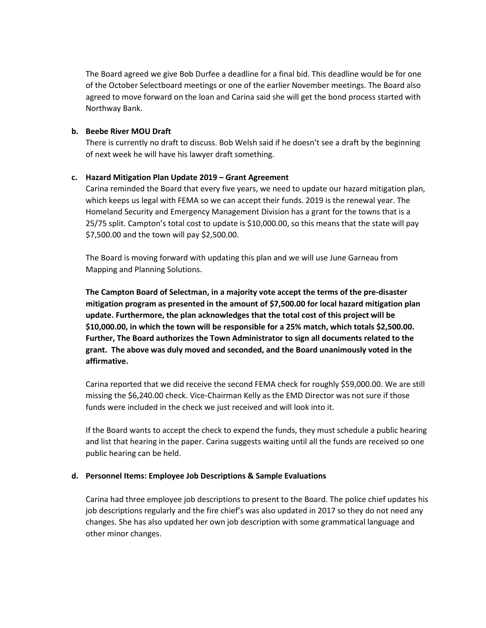The Board agreed we give Bob Durfee a deadline for a final bid. This deadline would be for one of the October Selectboard meetings or one of the earlier November meetings. The Board also agreed to move forward on the loan and Carina said she will get the bond process started with Northway Bank.

### **b. Beebe River MOU Draft**

There is currently no draft to discuss. Bob Welsh said if he doesn't see a draft by the beginning of next week he will have his lawyer draft something.

### **c. Hazard Mitigation Plan Update 2019 – Grant Agreement**

Carina reminded the Board that every five years, we need to update our hazard mitigation plan, which keeps us legal with FEMA so we can accept their funds. 2019 is the renewal year. The Homeland Security and Emergency Management Division has a grant for the towns that is a 25/75 split. Campton's total cost to update is \$10,000.00, so this means that the state will pay \$7,500.00 and the town will pay \$2,500.00.

The Board is moving forward with updating this plan and we will use June Garneau from Mapping and Planning Solutions.

**The Campton Board of Selectman, in a majority vote accept the terms of the pre-disaster mitigation program as presented in the amount of \$7,500.00 for local hazard mitigation plan update. Furthermore, the plan acknowledges that the total cost of this project will be \$10,000.00, in which the town will be responsible for a 25% match, which totals \$2,500.00. Further, The Board authorizes the Town Administrator to sign all documents related to the grant. The above was duly moved and seconded, and the Board unanimously voted in the affirmative.**

Carina reported that we did receive the second FEMA check for roughly \$59,000.00. We are still missing the \$6,240.00 check. Vice-Chairman Kelly as the EMD Director was not sure if those funds were included in the check we just received and will look into it.

If the Board wants to accept the check to expend the funds, they must schedule a public hearing and list that hearing in the paper. Carina suggests waiting until all the funds are received so one public hearing can be held.

#### **d. Personnel Items: Employee Job Descriptions & Sample Evaluations**

Carina had three employee job descriptions to present to the Board. The police chief updates his job descriptions regularly and the fire chief's was also updated in 2017 so they do not need any changes. She has also updated her own job description with some grammatical language and other minor changes.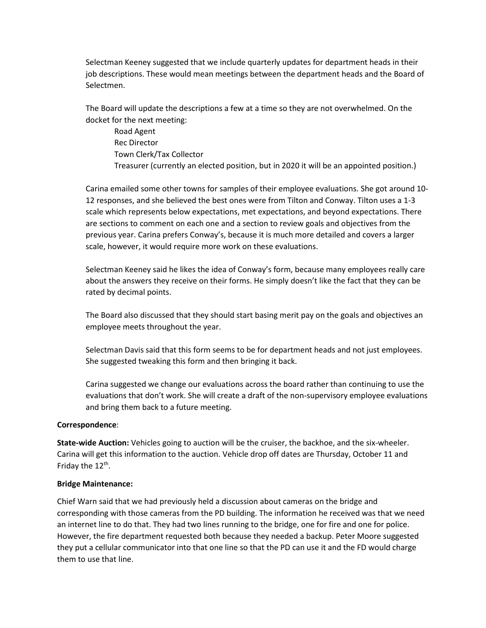Selectman Keeney suggested that we include quarterly updates for department heads in their job descriptions. These would mean meetings between the department heads and the Board of Selectmen.

The Board will update the descriptions a few at a time so they are not overwhelmed. On the docket for the next meeting:

Road Agent Rec Director Town Clerk/Tax Collector Treasurer (currently an elected position, but in 2020 it will be an appointed position.)

Carina emailed some other towns for samples of their employee evaluations. She got around 10- 12 responses, and she believed the best ones were from Tilton and Conway. Tilton uses a 1-3 scale which represents below expectations, met expectations, and beyond expectations. There are sections to comment on each one and a section to review goals and objectives from the previous year. Carina prefers Conway's, because it is much more detailed and covers a larger scale, however, it would require more work on these evaluations.

Selectman Keeney said he likes the idea of Conway's form, because many employees really care about the answers they receive on their forms. He simply doesn't like the fact that they can be rated by decimal points.

The Board also discussed that they should start basing merit pay on the goals and objectives an employee meets throughout the year.

Selectman Davis said that this form seems to be for department heads and not just employees. She suggested tweaking this form and then bringing it back.

Carina suggested we change our evaluations across the board rather than continuing to use the evaluations that don't work. She will create a draft of the non-supervisory employee evaluations and bring them back to a future meeting.

# **Correspondence**:

**State-wide Auction:** Vehicles going to auction will be the cruiser, the backhoe, and the six-wheeler. Carina will get this information to the auction. Vehicle drop off dates are Thursday, October 11 and Friday the 12<sup>th</sup>.

#### **Bridge Maintenance:**

Chief Warn said that we had previously held a discussion about cameras on the bridge and corresponding with those cameras from the PD building. The information he received was that we need an internet line to do that. They had two lines running to the bridge, one for fire and one for police. However, the fire department requested both because they needed a backup. Peter Moore suggested they put a cellular communicator into that one line so that the PD can use it and the FD would charge them to use that line.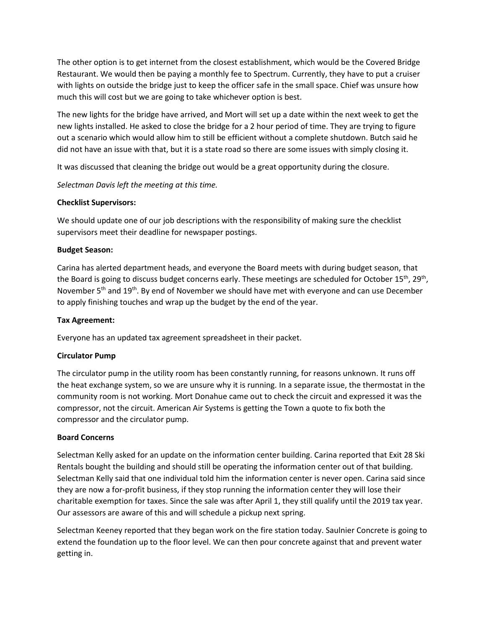The other option is to get internet from the closest establishment, which would be the Covered Bridge Restaurant. We would then be paying a monthly fee to Spectrum. Currently, they have to put a cruiser with lights on outside the bridge just to keep the officer safe in the small space. Chief was unsure how much this will cost but we are going to take whichever option is best.

The new lights for the bridge have arrived, and Mort will set up a date within the next week to get the new lights installed. He asked to close the bridge for a 2 hour period of time. They are trying to figure out a scenario which would allow him to still be efficient without a complete shutdown. Butch said he did not have an issue with that, but it is a state road so there are some issues with simply closing it.

It was discussed that cleaning the bridge out would be a great opportunity during the closure.

*Selectman Davis left the meeting at this time.*

# **Checklist Supervisors:**

We should update one of our job descriptions with the responsibility of making sure the checklist supervisors meet their deadline for newspaper postings.

# **Budget Season:**

Carina has alerted department heads, and everyone the Board meets with during budget season, that the Board is going to discuss budget concerns early. These meetings are scheduled for October 15<sup>th</sup>, 29<sup>th</sup>, November 5<sup>th</sup> and 19<sup>th</sup>. By end of November we should have met with everyone and can use December to apply finishing touches and wrap up the budget by the end of the year.

# **Tax Agreement:**

Everyone has an updated tax agreement spreadsheet in their packet.

# **Circulator Pump**

The circulator pump in the utility room has been constantly running, for reasons unknown. It runs off the heat exchange system, so we are unsure why it is running. In a separate issue, the thermostat in the community room is not working. Mort Donahue came out to check the circuit and expressed it was the compressor, not the circuit. American Air Systems is getting the Town a quote to fix both the compressor and the circulator pump.

# **Board Concerns**

Selectman Kelly asked for an update on the information center building. Carina reported that Exit 28 Ski Rentals bought the building and should still be operating the information center out of that building. Selectman Kelly said that one individual told him the information center is never open. Carina said since they are now a for-profit business, if they stop running the information center they will lose their charitable exemption for taxes. Since the sale was after April 1, they still qualify until the 2019 tax year. Our assessors are aware of this and will schedule a pickup next spring.

Selectman Keeney reported that they began work on the fire station today. Saulnier Concrete is going to extend the foundation up to the floor level. We can then pour concrete against that and prevent water getting in.